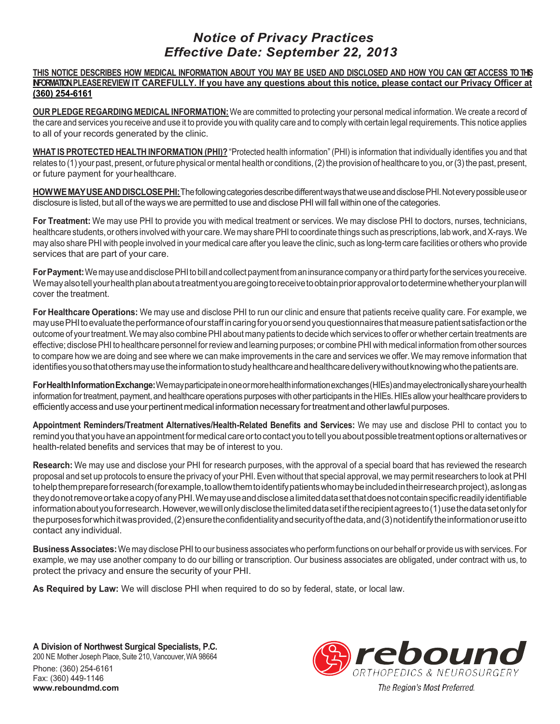# *Notice of Privacy Practices Effective Date: September 22, 2013*

#### THIS NOTICE DESCRIBES HOW MEDICAL INFORMATION ABOUT YOU MAY BE USED AND DISCLOSED AND HOW YOU CAN GET ACCESS TO THS **INFORMATION.PLEASEREVIEW IT CAREFULLY. If you have any questions about this notice, please contact our Privacy Officer at (360) 254-6161**

**OUR PLEDGE REGARDING MEDICAL INFORMATION:** We are committed to protecting your personal medical information. We create a record of the care and services you receive and use it to provide you with quality care and to comply with certain legal requirements.This notice applies to all of your records generated by the clinic.

**WHAT IS PROTECTED HEALTH INFORMATION (PHI)?** "Protected health information" (PHI) is information that individually identifies you and that relates to (1) your past, present, or future physical or mental health or conditions, (2) the provision of healthcare to you, or (3) the past, present, or future payment for yourhealthcare.

**HOWWE MAY USE AND DISCLOSE PHI:** The following categories describe different ways that we use and disclose PHI. Not every possible use or disclosure is listed, but all of the ways we are permitted to use and disclose PHI will fall within one of the categories.

**For Treatment:** We may use PHI to provide you with medical treatment or services. We may disclose PHI to doctors, nurses, technicians, healthcare students, or others involved with your care. We may share PHI to coordinate things such as prescriptions, lab work, and X-rays. We may also share PHI with people involved in your medical care after you leave the clinic, such as long-term care facilities or others who provide services that are part of your care.

For Payment: We may use and disclose PHI to bill and collect payment from an insurance company or a third party for the services you receive. Wemayalsotellyourhealthplanaboutatreatmentyouaregoingtoreceivetoobtainpriorapprovalortodeterminewhetheryourplanwill cover the treatment.

**For Healthcare Operations:** We may use and disclose PHI to run our clinic and ensure that patients receive quality care. For example, we may use PHI to evaluate the performance of our staff in caring for you or send you questionnaires that measure patient satisfaction or the outcome of yourtreatment.We may also combinePHI about many patients to decide which services to offer or whether certain treatments are effective; disclosePHI to healthcare personnel forreview and learning purposes; or combinePHI with medical information from other sources to compare how we are doing and see where we can make improvements in the care and services we offer.We may remove information that identifies you so that others may use the information to study healthcare and healthcare delivery without knowing who the patients are.

**ForHealthInformationExchange:**Wemayparticipateinoneormorehealthinformationexchanges(HIEs)andmayelectronicallyshareyourhealth information for treatment, payment, and healthcare operations purposes with other participants in the HIEs. HIEs allow your healthcare providers to efficiently access and use your pertinent medical information necessary for treatment and other lawful purposes.

**Appointment Reminders/Treatment Alternatives/Health-Related Benefits and Services:** We may use and disclose PHI to contact you to remind you that you have an appointment for medical care or to contact you to tell you about possible treatment options or alternatives or health-related benefits and services that may be of interest to you.

**Research:** We may use and disclose your PHI for research purposes, with the approval of a special board that has reviewed the research proposal and set up protocols to ensure the privacy of your PHI. Even without that special approval, we may permit researchers to look at PHI tohelpthemprepareforresearch (forexample, to allow them to identify patients who may be included in their research project), as long as theydonotremoveortakeacopyofanyPHI.Wemayuseanddisclosealimiteddatasetthatdoesnotcontainspecificreadilyidentifiable information about you for research. However, we will only disclose the limited data set if the recipient agrees to (1) use the data set only for thepurposesforwhichitwasprovided,(2)ensuretheconfidentialityandsecurityofthedata,and(3)notidentifytheinformationoruseitto contact any individual.

**Business Associates:**We may disclosePHI to our business associates who perform functions on our behalf or provide us with services. For example, we may use another company to do our billing or transcription. Our business associates are obligated, under contract with us, to protect the privacy and ensure the security of your PHI.

**As Required by Law:** We will disclose PHI when required to do so by federal, state, or local law.

**A Division of Northwest Surgical Specialists, P.C.** 200 NE Mother Joseph Place, Suite 210, Vancouver, WA 98664 Phone: (360) 254-6161 Fax: (360) 449-1146 **www.reboundmd.com**

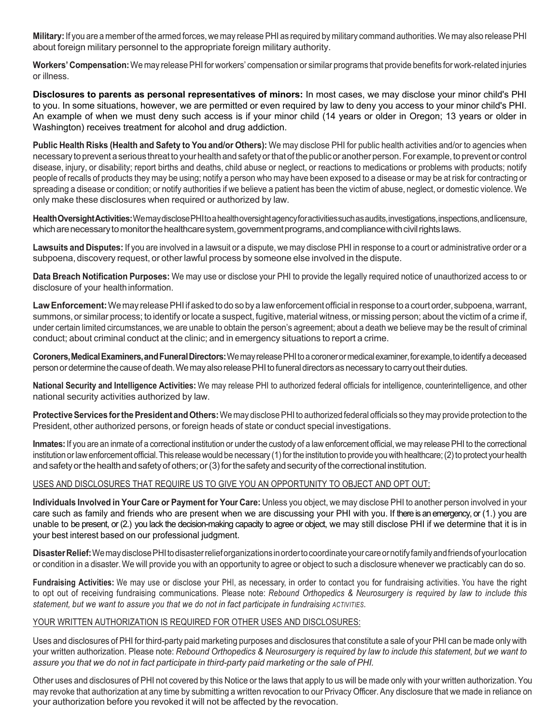**Military:** If you are a member of the armed forces, we may release PHI as required by military command authorities. We may also release PHI about foreign military personnel to the appropriate foreign military authority.

**Workers' Compensation:**We may releasePHI for workers' compensation or similar programs that provide benefits for work-related injuries or illness.

**Disclosures to parents as personal representatives of minors:** In most cases, we may disclose your minor child's PHI to you. In some situations, however, we are permitted or even required by law to deny you access to your minor child's PHI. An example of when we must deny such access is if your minor child (14 years or older in Oregon; 13 years or older in Washington) receives treatment for alcohol and drug addiction.

**Public Health Risks (Health and Safety to You and/or Others):** We may disclose PHI for public health activities and/or to agencies when necessary to prevent a serious threat to your health and safety or that of the public or another person. For example, to prevent or control disease, injury, or disability; report births and deaths, child abuse or neglect, or reactions to medications or problems with products; notify people of recalls of products they may be using; notify a person who may have been exposed to a disease or may be at risk for contracting or spreading a disease or condition; or notify authorities if we believe a patient has been the victim of abuse, neglect, or domestic violence. We only make these disclosures when required or authorized by law.

**HealthOversightActivities:**WemaydisclosePHItoahealthoversightagencyforactivitiessuchasaudits,investigations,inspections,andlicensure, which are necessary to monitor the healthcare system, government programs, and compliance with civil rights laws.

**Lawsuits and Disputes:** If you are involved in a lawsuit or a dispute, we may disclose PHI in response to a court or administrative order or a subpoena, discovery request, or other lawful process by someone else involved in the dispute.

**Data Breach Notification Purposes:** We may use or disclose your PHI to provide the legally required notice of unauthorized access to or disclosure of your health information.

Law Enforcement: We may release PHI if asked to do so by a law enforcement official in response to a court order, subpoena, warrant, summons, or similar process; to identify or locate a suspect, fugitive, material witness, or missing person; about the victim of a crime if, under certain limited circumstances, we are unable to obtain the person's agreement; about a death we believe may be the result of criminal conduct; about criminal conduct at the clinic; and in emergency situations to report a crime.

**Coroners, Medical Examiners, and Funeral Directors:** We may release PHI to a coroner or medical examiner, for example, to identify a deceased person or determine the cause of death. We may also release PHI to funeral directors as necessary to carry out their duties.

**National Security and Intelligence Activities:** We may release PHI to authorized federal officials for intelligence, counterintelligence, and other national security activities authorized by law.

**Protective Services for the President and Others:** We may disclose PHI to authorized federal officials so they may provide protection to the President, other authorized persons, or foreign heads of state or conduct special investigations.

**Inmates:** If you are an inmate of a correctional institution or under the custody of a law enforcement official, we may release PHI to the correctional institution or law enforcement official. This release would be necessary (1) for the institution to provide you with healthcare; (2) to protect your health and safety or the health and safety of others; or (3) for the safety and security of the correctional institution.

## USES AND DISCLOSURES THAT REQUIRE US TO GIVE YOU AN OPPORTUNITY TO OBJECT AND OPT OUT:

**Individuals Involved in Your Care or Payment for Your Care:** Unless you object, we may disclose PHI to another person involved in your care such as family and friends who are present when we are discussing your PHI with you. If there is an emergency, or (1.) you are unable to be present, or (2.) you lack the decision-making capacity to agree or object, we may still disclose PHI if we determine that it is in your best interest based on our professional judgment.

**DisasterRelief:**WemaydisclosePHItodisasterrelieforganizationsinordertocoordinateyourcareornotifyfamilyandfriendsofyourlocation or condition in a disaster.We will provide you with an opportunity to agree or object to such a disclosure whenever we practicably can do so.

**Fundraising Activities:** We may use or disclose your PHI, as necessary, in order to contact you for fundraising activities. You have the right to opt out of receiving fundraising communications. Please note: *Rebound Orthopedics & Neurosurgery is required by law to include this statement, but we want to assure you that we do not in fact participate in fundraising ACTIVITIES.*

## YOUR WRITTEN AUTHORIZATION IS REQUIRED FOR OTHER USES AND DISCLOSURES:

Uses and disclosures of PHI for third-party paid marketing purposes and disclosures that constitute a sale of your PHI can be made only with your written authorization. Please note: Rebound Orthopedics & Neurosurgery is required by law to include this statement, but we want to *assure you that we do not in fact participate in third-party paid marketing or the sale of PHI.*

Other uses and disclosures of PHI not covered by this Notice or the laws that apply to us will be made only with your written authorization.You may revoke that authorization at any time by submitting a written revocation to our Privacy Officer.Any disclosure that we made in reliance on your authorization before you revoked it will not be affected by the revocation.